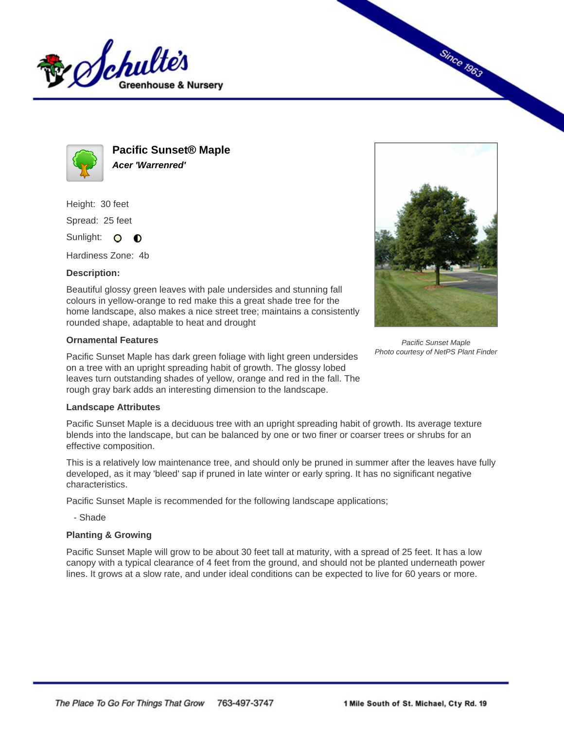



**Pacific Sunset® Maple Acer 'Warrenred'**

Height: 30 feet Spread: 25 feet

Sunlight: O **O** 

Hardiness Zone: 4b

## **Description:**

Beautiful glossy green leaves with pale undersides and stunning fall colours in yellow-orange to red make this a great shade tree for the home landscape, also makes a nice street tree; maintains a consistently rounded shape, adaptable to heat and drought

## **Ornamental Features**

Pacific Sunset Maple has dark green foliage with light green undersides on a tree with an upright spreading habit of growth. The glossy lobed leaves turn outstanding shades of yellow, orange and red in the fall. The rough gray bark adds an interesting dimension to the landscape.



Pacific Sunset Maple is a deciduous tree with an upright spreading habit of growth. Its average texture blends into the landscape, but can be balanced by one or two finer or coarser trees or shrubs for an effective composition.

This is a relatively low maintenance tree, and should only be pruned in summer after the leaves have fully developed, as it may 'bleed' sap if pruned in late winter or early spring. It has no significant negative characteristics.

Pacific Sunset Maple is recommended for the following landscape applications;

- Shade

## **Planting & Growing**

Pacific Sunset Maple will grow to be about 30 feet tall at maturity, with a spread of 25 feet. It has a low canopy with a typical clearance of 4 feet from the ground, and should not be planted underneath power lines. It grows at a slow rate, and under ideal conditions can be expected to live for 60 years or more.



**Since 1963** 

Pacific Sunset Maple Photo courtesy of NetPS Plant Finder